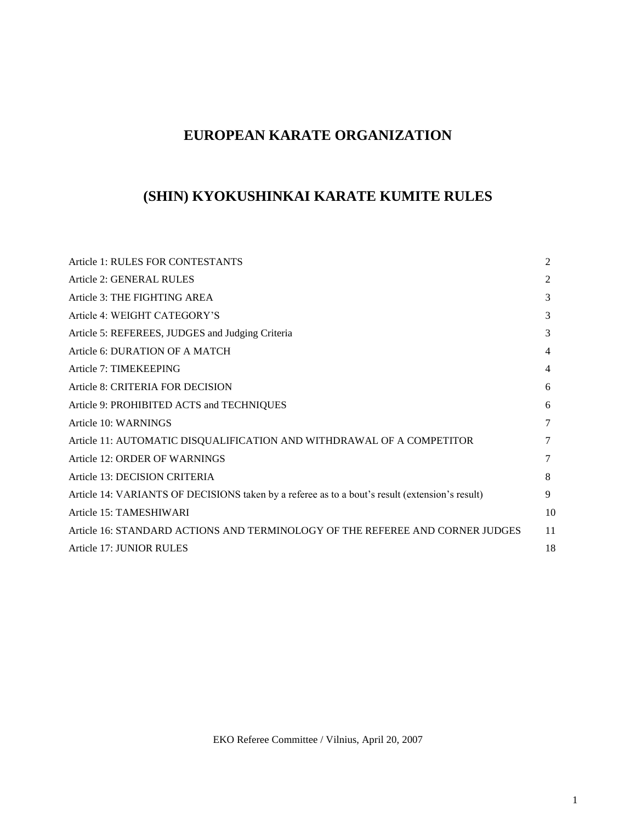# **EUROPEAN KARATE ORGANIZATION**

# **(SHIN) KYOKUSHINKAI KARATE KUMITE RULES**

| Article 1: RULES FOR CONTESTANTS                                                                | 2  |
|-------------------------------------------------------------------------------------------------|----|
| Article 2: GENERAL RULES                                                                        | 2  |
| Article 3: THE FIGHTING AREA                                                                    | 3  |
| Article 4: WEIGHT CATEGORY'S                                                                    | 3  |
| Article 5: REFEREES, JUDGES and Judging Criteria                                                | 3  |
| Article 6: DURATION OF A MATCH                                                                  | 4  |
| Article 7: TIMEKEEPING                                                                          | 4  |
| Article 8: CRITERIA FOR DECISION                                                                | 6  |
| Article 9: PROHIBITED ACTS and TECHNIQUES                                                       | 6  |
| Article 10: WARNINGS                                                                            | 7  |
| Article 11: AUTOMATIC DISQUALIFICATION AND WITHDRAWAL OF A COMPETITOR                           | 7  |
| Article 12: ORDER OF WARNINGS                                                                   | 7  |
| Article 13: DECISION CRITERIA                                                                   | 8  |
| Article 14: VARIANTS OF DECISIONS taken by a referee as to a bout's result (extension's result) | 9  |
| Article 15: TAMESHIWARI                                                                         | 10 |
| Article 16: STANDARD ACTIONS AND TERMINOLOGY OF THE REFEREE AND CORNER JUDGES                   | 11 |
| Article 17: JUNIOR RULES                                                                        | 18 |
|                                                                                                 |    |

EKO Referee Committee / Vilnius, April 20, 2007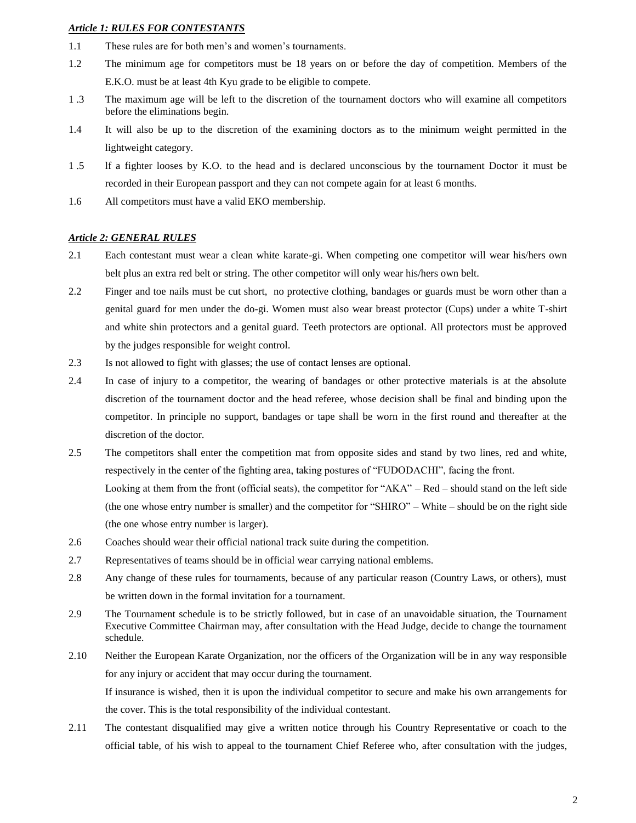# *Article 1: RULES FOR CONTESTANTS*

- 1.1 These rules are for both men's and women's tournaments.
- 1.2 The minimum age for competitors must be 18 years on or before the day of competition. Members of the E.K.O. must be at least 4th Kyu grade to be eligible to compete.
- 1 .3 The maximum age will be left to the discretion of the tournament doctors who will examine all competitors before the eliminations begin.
- 1.4 It will also be up to the discretion of the examining doctors as to the minimum weight permitted in the lightweight category.
- 1 .5 lf a fighter looses by K.O. to the head and is declared unconscious by the tournament Doctor it must be recorded in their European passport and they can not compete again for at least 6 months.
- 1.6 All competitors must have a valid EKO membership.

#### *Article 2: GENERAL RULES*

- 2.1 Each contestant must wear a clean white karate-gi. When competing one competitor will wear his/hers own belt plus an extra red belt or string. The other competitor will only wear his/hers own belt.
- 2.2 Finger and toe nails must be cut short, no protective clothing, bandages or guards must be worn other than a genital guard for men under the do-gi. Women must also wear breast protector (Cups) under a white T-shirt and white shin protectors and a genital guard. Teeth protectors are optional. All protectors must be approved by the judges responsible for weight control.
- 2.3 Is not allowed to fight with glasses; the use of contact lenses are optional.
- 2.4 In case of injury to a competitor, the wearing of bandages or other protective materials is at the absolute discretion of the tournament doctor and the head referee, whose decision shall be final and binding upon the competitor. In principle no support, bandages or tape shall be worn in the first round and thereafter at the discretion of the doctor.
- 2.5 The competitors shall enter the competition mat from opposite sides and stand by two lines, red and white, respectively in the center of the fighting area, taking postures of "FUDODACHI", facing the front. Looking at them from the front (official seats), the competitor for "AKA" – Red – should stand on the left side (the one whose entry number is smaller) and the competitor for "SHIRO" – White – should be on the right side (the one whose entry number is larger).
- 2.6 Coaches should wear their official national track suite during the competition.
- 2.7 Representatives of teams should be in official wear carrying national emblems.
- 2.8 Any change of these rules for tournaments, because of any particular reason (Country Laws, or others), must be written down in the formal invitation for a tournament.
- 2.9 The Tournament schedule is to be strictly followed, but in case of an unavoidable situation, the Tournament Executive Committee Chairman may, after consultation with the Head Judge, decide to change the tournament schedule.
- 2.10 Neither the European Karate Organization, nor the officers of the Organization will be in any way responsible for any injury or accident that may occur during the tournament. If insurance is wished, then it is upon the individual competitor to secure and make his own arrangements for the cover. This is the total responsibility of the individual contestant.
- 2.11 The contestant disqualified may give a written notice through his Country Representative or coach to the official table, of his wish to appeal to the tournament Chief Referee who, after consultation with the judges,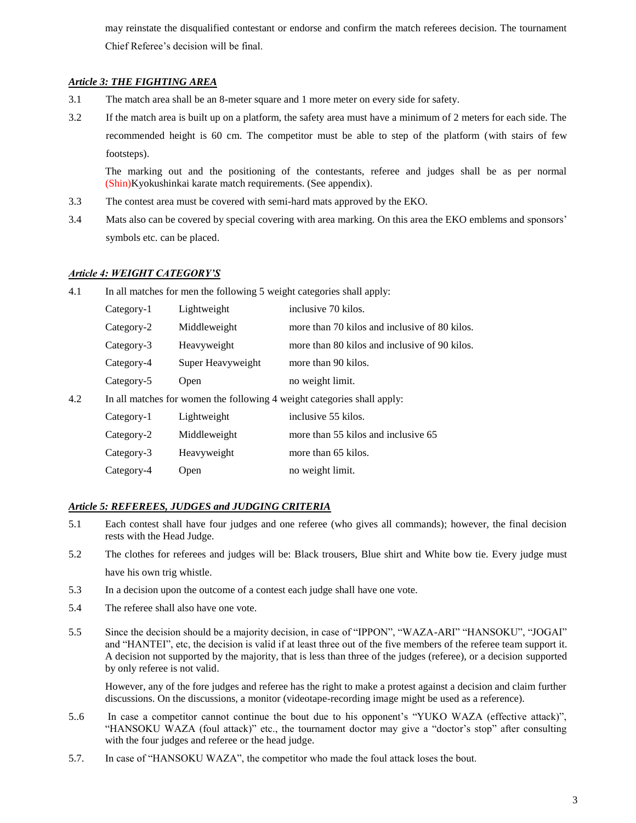may reinstate the disqualified contestant or endorse and confirm the match referees decision. The tournament Chief Referee's decision will be final.

# *Article 3: THE FIGHTING AREA*

- 3.1 The match area shall be an 8-meter square and 1 more meter on every side for safety.
- 3.2 If the match area is built up on a platform, the safety area must have a minimum of 2 meters for each side. The recommended height is 60 cm. The competitor must be able to step of the platform (with stairs of few footsteps).

The marking out and the positioning of the contestants, referee and judges shall be as per normal (Shin)Kyokushinkai karate match requirements. (See appendix).

- 3.3 The contest area must be covered with semi-hard mats approved by the EKO.
- 3.4 Mats also can be covered by special covering with area marking. On this area the EKO emblems and sponsors' symbols etc. can be placed.

# *Article 4: WEIGHT CATEGORY'S*

| 4.1 | In all matches for men the following 5 weight categories shall apply: |                   |                                                                         |
|-----|-----------------------------------------------------------------------|-------------------|-------------------------------------------------------------------------|
|     | Category-1                                                            | Lightweight       | inclusive 70 kilos.                                                     |
|     | Category-2                                                            | Middleweight      | more than 70 kilos and inclusive of 80 kilos.                           |
|     | Category-3                                                            | Heavyweight       | more than 80 kilos and inclusive of 90 kilos.                           |
|     | Category-4                                                            | Super Heavyweight | more than 90 kilos.                                                     |
|     | Category-5                                                            | Open              | no weight limit.                                                        |
| 4.2 |                                                                       |                   | In all matches for women the following 4 weight categories shall apply: |
|     | Category-1                                                            | Lightweight       | inclusive 55 kilos.                                                     |
|     | Category-2                                                            | Middleweight      | more than 55 kilos and inclusive 65                                     |
|     | Category-3                                                            | Heavyweight       | more than 65 kilos.                                                     |
|     | Category-4                                                            | Open              | no weight limit.                                                        |

# *Article 5: REFEREES, JUDGES and JUDGING CRITERIA*

- 5.1 Each contest shall have four judges and one referee (who gives all commands); however, the final decision rests with the Head Judge.
- 5.2 The clothes for referees and judges will be: Black trousers, Blue shirt and White bow tie. Every judge must have his own trig whistle.
- 5.3 In a decision upon the outcome of a contest each judge shall have one vote.
- 5.4 The referee shall also have one vote.
- 5.5 Since the decision should be a majority decision, in case of "IPPON", "WAZA-ARI" "HANSOKU", "JOGAI" and "HANTEI", etc, the decision is valid if at least three out of the five members of the referee team support it. A decision not supported by the majority, that is less than three of the judges (referee), or a decision supported by only referee is not valid.

However, any of the fore judges and referee has the right to make a protest against a decision and claim further discussions. On the discussions, a monitor (videotape-recording image might be used as a reference).

- 5..6 In case a competitor cannot continue the bout due to his opponent's "YUKO WAZA (effective attack)", "HANSOKU WAZA (foul attack)" etc., the tournament doctor may give a "doctor's stop" after consulting with the four judges and referee or the head judge.
- 5.7. In case of "HANSOKU WAZA", the competitor who made the foul attack loses the bout.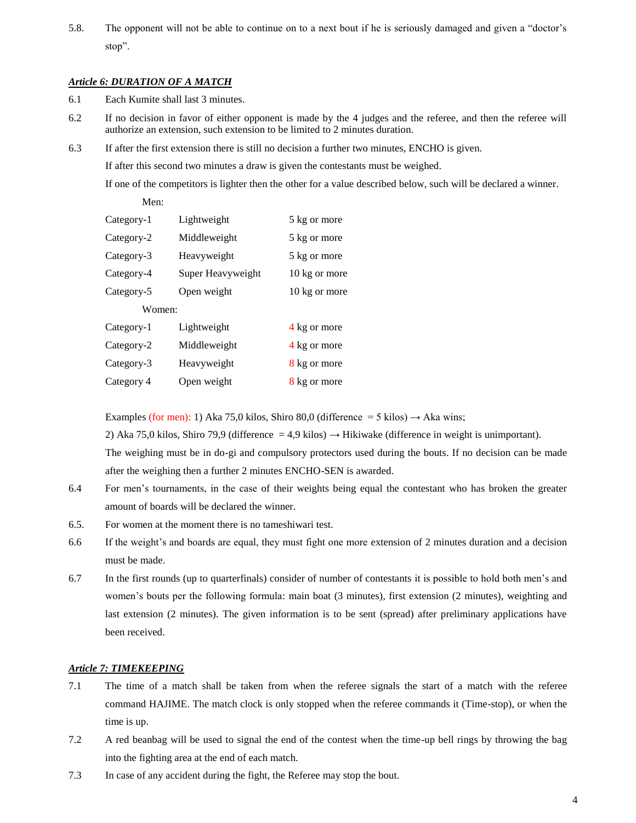5.8. The opponent will not be able to continue on to a next bout if he is seriously damaged and given a "doctor's stop".

### *Article 6: DURATION OF A MATCH*

- 6.1 Each Kumite shall last 3 minutes.
- 6.2 If no decision in favor of either opponent is made by the 4 judges and the referee, and then the referee will authorize an extension, such extension to be limited to 2 minutes duration.
- 6.3 If after the first extension there is still no decision a further two minutes, ENCHO is given.

If after this second two minutes a draw is given the contestants must be weighed.

If one of the competitors is lighter then the other for a value described below, such will be declared a winner.

Men:

| Category-1 | Lightweight       | 5 kg or more  |
|------------|-------------------|---------------|
| Category-2 | Middleweight      | 5 kg or more  |
| Category-3 | Heavyweight       | 5 kg or more  |
| Category-4 | Super Heavyweight | 10 kg or more |
| Category-5 | Open weight       | 10 kg or more |
| Women:     |                   |               |
| Category-1 | Lightweight       | 4 kg or more  |
| Category-2 | Middleweight      | 4 kg or more  |
| Category-3 | Heavyweight       | 8 kg or more  |
| Category 4 | Open weight       | 8 kg or more  |

Examples (for men): 1) Aka 75,0 kilos, Shiro 80,0 (difference = 5 kilos)  $\rightarrow$  Aka wins;

2) Aka 75,0 kilos, Shiro 79,9 (difference = 4,9 kilos)  $\rightarrow$  Hikiwake (difference in weight is unimportant).

The weighing must be in do-gi and compulsory protectors used during the bouts. If no decision can be made after the weighing then a further 2 minutes ENCHO-SEN is awarded.

- 6.4 For men's tournaments, in the case of their weights being equal the contestant who has broken the greater amount of boards will be declared the winner.
- 6.5. For women at the moment there is no tameshiwari test.
- 6.6 If the weight's and boards are equal, they must fight one more extension of 2 minutes duration and a decision must be made.
- 6.7 In the first rounds (up to quarterfinals) consider of number of contestants it is possible to hold both men's and women's bouts per the following formula: main boat (3 minutes), first extension (2 minutes), weighting and last extension (2 minutes). The given information is to be sent (spread) after preliminary applications have been received.

# *Article 7: TIMEKEEPING*

- 7.1 The time of a match shall be taken from when the referee signals the start of a match with the referee command HAJIME. The match clock is only stopped when the referee commands it (Time-stop), or when the time is up.
- 7.2 A red beanbag will be used to signal the end of the contest when the time-up bell rings by throwing the bag into the fighting area at the end of each match.
- 7.3 In case of any accident during the fight, the Referee may stop the bout.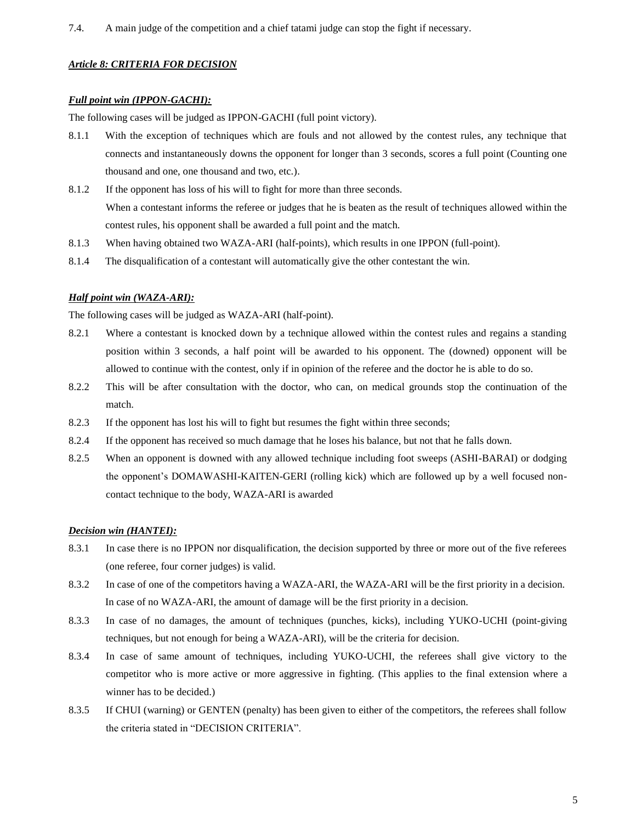# *Article 8: CRITERIA FOR DECISION*

# *Full point win (IPPON-GACHI):*

The following cases will be judged as IPPON-GACHI (full point victory).

- 8.1.1 With the exception of techniques which are fouls and not allowed by the contest rules, any technique that connects and instantaneously downs the opponent for longer than 3 seconds, scores a full point (Counting one thousand and one, one thousand and two, etc.).
- 8.1.2 If the opponent has loss of his will to fight for more than three seconds. When a contestant informs the referee or judges that he is beaten as the result of techniques allowed within the contest rules, his opponent shall be awarded a full point and the match.
- 8.1.3 When having obtained two WAZA-ARI (half-points), which results in one IPPON (full-point).
- 8.1.4 The disqualification of a contestant will automatically give the other contestant the win.

# *Half point win (WAZA-ARI):*

The following cases will be judged as WAZA-ARI (half-point).

- 8.2.1 Where a contestant is knocked down by a technique allowed within the contest rules and regains a standing position within 3 seconds, a half point will be awarded to his opponent. The (downed) opponent will be allowed to continue with the contest, only if in opinion of the referee and the doctor he is able to do so.
- 8.2.2 This will be after consultation with the doctor, who can, on medical grounds stop the continuation of the match.
- 8.2.3 If the opponent has lost his will to fight but resumes the fight within three seconds;
- 8.2.4 If the opponent has received so much damage that he loses his balance, but not that he falls down.
- 8.2.5 When an opponent is downed with any allowed technique including foot sweeps (ASHI-BARAI) or dodging the opponent's DOMAWASHI-KAITEN-GERI (rolling kick) which are followed up by a well focused noncontact technique to the body, WAZA-ARI is awarded

# *Decision win (HANTEI):*

- 8.3.1 In case there is no IPPON nor disqualification, the decision supported by three or more out of the five referees (one referee, four corner judges) is valid.
- 8.3.2 In case of one of the competitors having a WAZA-ARI, the WAZA-ARI will be the first priority in a decision. In case of no WAZA-ARI, the amount of damage will be the first priority in a decision.
- 8.3.3 In case of no damages, the amount of techniques (punches, kicks), including YUKO-UCHI (point-giving techniques, but not enough for being a WAZA-ARI), will be the criteria for decision.
- 8.3.4 In case of same amount of techniques, including YUKO-UCHI, the referees shall give victory to the competitor who is more active or more aggressive in fighting. (This applies to the final extension where a winner has to be decided.)
- 8.3.5 If CHUI (warning) or GENTEN (penalty) has been given to either of the competitors, the referees shall follow the criteria stated in "DECISION CRITERIA".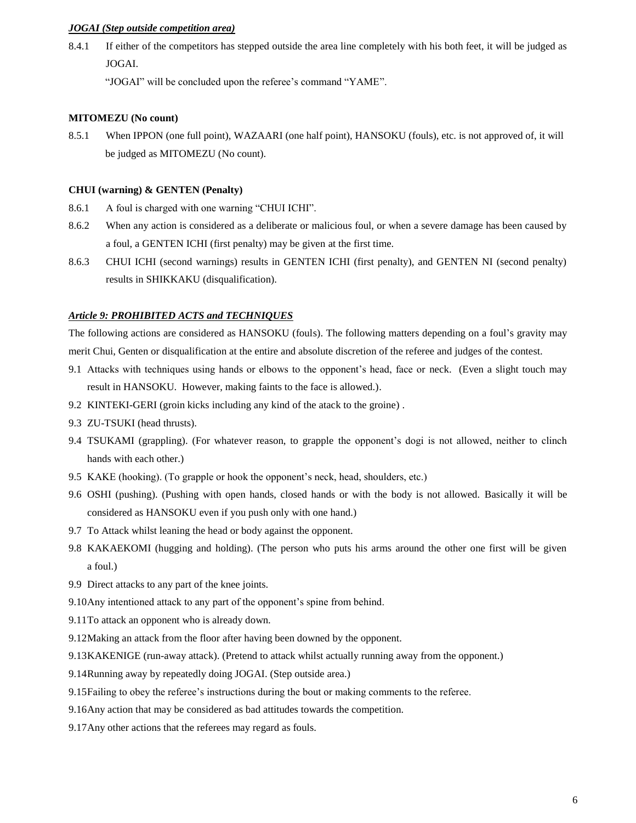### *JOGAI (Step outside competition area)*

8.4.1 If either of the competitors has stepped outside the area line completely with his both feet, it will be judged as JOGAI.

"JOGAI" will be concluded upon the referee's command "YAME".

#### **MITOMEZU (No count)**

8.5.1 When IPPON (one full point), WAZAARI (one half point), HANSOKU (fouls), etc. is not approved of, it will be judged as MITOMEZU (No count).

#### **CHUI (warning) & GENTEN (Penalty)**

- 8.6.1 A foul is charged with one warning "CHUI ICHI".
- 8.6.2 When any action is considered as a deliberate or malicious foul, or when a severe damage has been caused by a foul, a GENTEN ICHI (first penalty) may be given at the first time.
- 8.6.3 CHUI ICHI (second warnings) results in GENTEN ICHI (first penalty), and GENTEN NI (second penalty) results in SHIKKAKU (disqualification).

#### *Article 9: PROHIBITED ACTS and TECHNIQUES*

The following actions are considered as HANSOKU (fouls). The following matters depending on a foul's gravity may merit Chui, Genten or disqualification at the entire and absolute discretion of the referee and judges of the contest.

- 9.1 Attacks with techniques using hands or elbows to the opponent's head, face or neck. (Even a slight touch may result in HANSOKU. However, making faints to the face is allowed.).
- 9.2 KINTEKI-GERI (groin kicks including any kind of the atack to the groine) .
- 9.3 ZU-TSUKI (head thrusts).
- 9.4 TSUKAMI (grappling). (For whatever reason, to grapple the opponent's dogi is not allowed, neither to clinch hands with each other.)
- 9.5 KAKE (hooking). (To grapple or hook the opponent's neck, head, shoulders, etc.)
- 9.6 OSHI (pushing). (Pushing with open hands, closed hands or with the body is not allowed. Basically it will be considered as HANSOKU even if you push only with one hand.)
- 9.7 To Attack whilst leaning the head or body against the opponent.
- 9.8 KAKAEKOMI (hugging and holding). (The person who puts his arms around the other one first will be given a foul.)
- 9.9 Direct attacks to any part of the knee joints.
- 9.10Any intentioned attack to any part of the opponent's spine from behind.
- 9.11To attack an opponent who is already down.
- 9.12Making an attack from the floor after having been downed by the opponent.
- 9.13KAKENIGE (run-away attack). (Pretend to attack whilst actually running away from the opponent.)
- 9.14Running away by repeatedly doing JOGAI. (Step outside area.)
- 9.15Failing to obey the referee's instructions during the bout or making comments to the referee.
- 9.16Any action that may be considered as bad attitudes towards the competition.
- 9.17Any other actions that the referees may regard as fouls.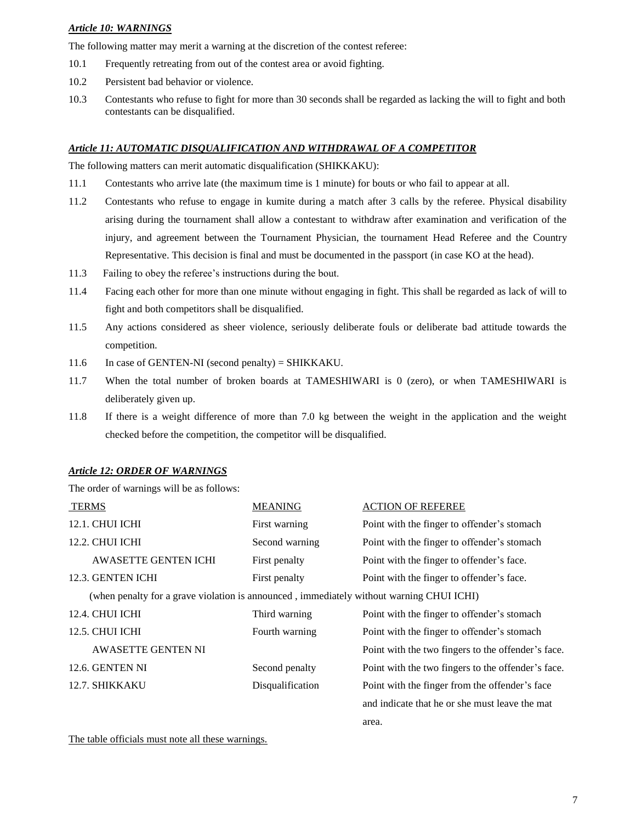### *Article 10: WARNINGS*

The following matter may merit a warning at the discretion of the contest referee:

- 10.1 Frequently retreating from out of the contest area or avoid fighting.
- 10.2 Persistent bad behavior or violence.
- 10.3 Contestants who refuse to fight for more than 30 seconds shall be regarded as lacking the will to fight and both contestants can be disqualified.

### *Article 11: AUTOMATIC DISQUALIFICATION AND WITHDRAWAL OF A COMPETITOR*

The following matters can merit automatic disqualification (SHIKKAKU):

- 11.1 Contestants who arrive late (the maximum time is 1 minute) for bouts or who fail to appear at all.
- 11.2 Contestants who refuse to engage in kumite during a match after 3 calls by the referee. Physical disability arising during the tournament shall allow a contestant to withdraw after examination and verification of the injury, and agreement between the Tournament Physician, the tournament Head Referee and the Country Representative. This decision is final and must be documented in the passport (in case KO at the head).
- 11.3 Failing to obey the referee's instructions during the bout.
- 11.4 Facing each other for more than one minute without engaging in fight. This shall be regarded as lack of will to fight and both competitors shall be disqualified.
- 11.5 Any actions considered as sheer violence, seriously deliberate fouls or deliberate bad attitude towards the competition.
- 11.6 In case of GENTEN-NI (second penalty) = SHIKKAKU.
- 11.7 When the total number of broken boards at TAMESHIWARI is 0 (zero), or when TAMESHIWARI is deliberately given up.
- 11.8 If there is a weight difference of more than 7.0 kg between the weight in the application and the weight checked before the competition, the competitor will be disqualified.

#### *Article 12: ORDER OF WARNINGS*

The order of warnings will be as follows:

| <b>TERMS</b>                                                                             | <b>MEANING</b>   | <b>ACTION OF REFEREE</b>                           |
|------------------------------------------------------------------------------------------|------------------|----------------------------------------------------|
| <b>12.1. CHUI ICHI</b>                                                                   | First warning    | Point with the finger to offender's stomach        |
| 12.2. CHUI ICHI                                                                          | Second warning   | Point with the finger to offender's stomach        |
| <b>AWASETTE GENTEN ICHI</b>                                                              | First penalty    | Point with the finger to offender's face.          |
| 12.3. GENTEN ICHI                                                                        | First penalty    | Point with the finger to offender's face.          |
| (when penalty for a grave violation is announced, immediately without warning CHUI ICHI) |                  |                                                    |
| 12.4. CHUI ICHI                                                                          | Third warning    | Point with the finger to offender's stomach        |
| 12.5. CHUI ICHI                                                                          | Fourth warning   | Point with the finger to offender's stomach        |
| <b>AWASETTE GENTEN NI</b>                                                                |                  | Point with the two fingers to the offender's face. |
| 12.6. GENTEN NI                                                                          | Second penalty   | Point with the two fingers to the offender's face. |
| 12.7. SHIKKAKU                                                                           | Disqualification | Point with the finger from the offender's face     |
|                                                                                          |                  | and indicate that he or she must leave the mat     |
|                                                                                          |                  | area.                                              |
|                                                                                          |                  |                                                    |

The table officials must note all these warnings.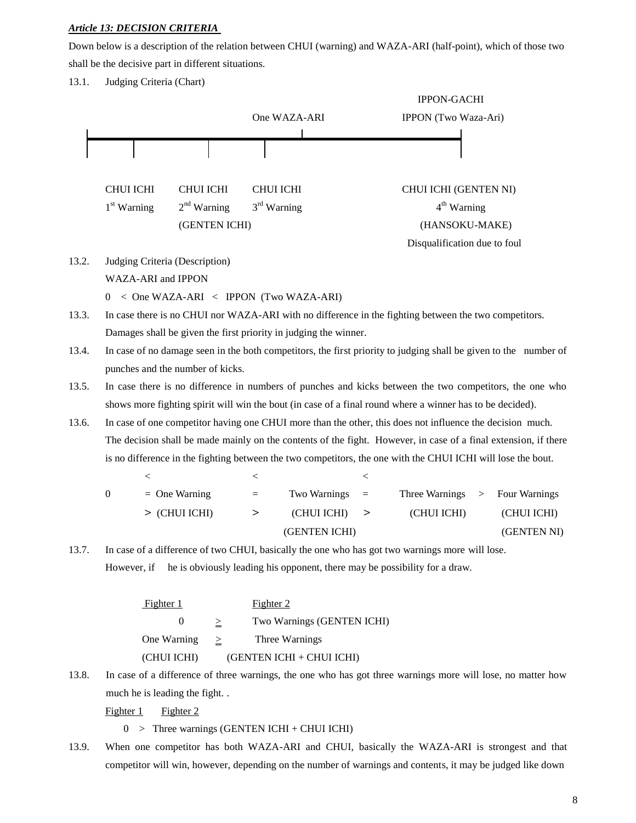# *Article 13: DECISION CRITERIA*

Down below is a description of the relation between CHUI (warning) and WAZA-ARI (half-point), which of those two shall be the decisive part in different situations.

13.1. Judging Criteria (Chart)



competitor will win, however, depending on the number of warnings and contents, it may be judged like down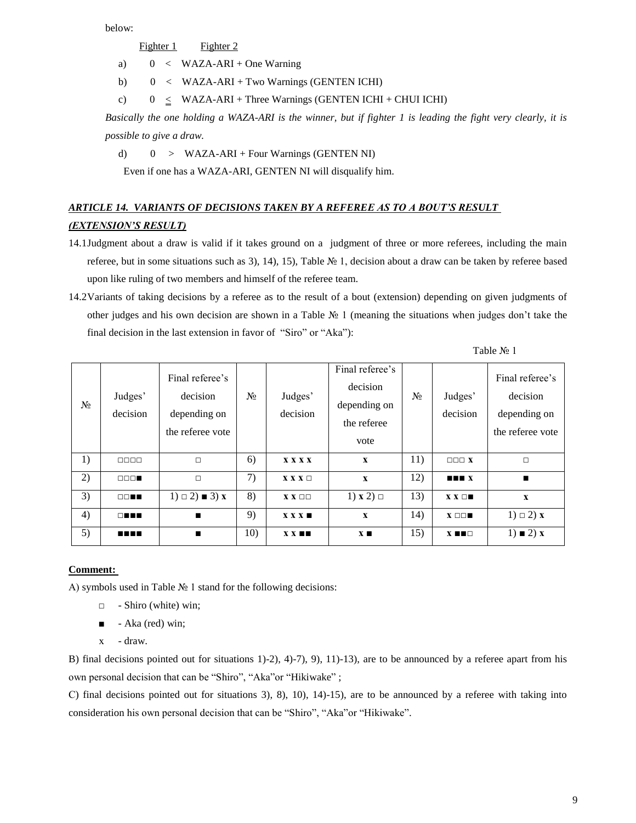below:

Fighter 1 Fighter 2

- a)  $0 < WAZA-ARI + One Warning$
- b)  $0 < WAZA-ARI + Two Warning (GENTEN ICHI)$
- c)  $0 < WAZA-ARI + Three Warning (GENTEN ICHI + CHUI ICHI)$

*Basically the one holding a WAZA-ARI is the winner, but if fighter 1 is leading the fight very clearly, it is possible to give a draw.*

d)  $0 > WAZA-ARI + Four Warnings (GENTEN NI)$ 

Even if one has a WAZA-ARI, GENTEN NI will disqualify him.

# *ARTICLE 14. VARIANTS OF DECISIONS TAKEN BY A REFEREE AS TO A BOUT'S RESULT (EXTENSION'S RESULT)*

- 14.1Judgment about a draw is valid if it takes ground on a judgment of three or more referees, including the main referee, but in some situations such as 3), 14), 15), Table № 1, decision about a draw can be taken by referee based upon like ruling of two members and himself of the referee team.
- 14.2Variants of taking decisions by a referee as to the result of a bout (extension) depending on given judgments of other judges and his own decision are shown in a Table № 1 (meaning the situations when judges don't take the final decision in the last extension in favor of "Siro" or "Aka"):

Table № 1

| $N_2$ | Judges'<br>decision                         | Final referee's<br>decision<br>depending on<br>the referee vote | $N_2$ | Judges'<br>decision         | Final referee's<br>decision<br>depending on<br>the referee<br>vote | $N_2$ | Judges'<br>decision               | Final referee's<br>decision<br>depending on<br>the referee vote |
|-------|---------------------------------------------|-----------------------------------------------------------------|-------|-----------------------------|--------------------------------------------------------------------|-------|-----------------------------------|-----------------------------------------------------------------|
| 1)    | $\Box$                                      | $\Box$                                                          | 6)    | <b>XXXX</b>                 | $\mathbf{x}$                                                       | 11)   | $\Box$ $\Box$ $\Box$ $\mathbf{X}$ | $\Box$                                                          |
| 2)    | $\Box$ $\Box$                               | $\Box$                                                          | 7)    | $X X X \Box$                | $\mathbf{x}$                                                       | 12)   | $\blacksquare$                    | $\blacksquare$                                                  |
| 3)    | $\square \square \blacksquare \blacksquare$ | $1) \square 2$ = 3) x                                           | 8)    | $X$ $X$ $\square$ $\square$ | $1) \times 2) \square$                                             | 13)   | $X X \Box$                        | $\mathbf{x}$                                                    |
| 4)    | $\Box$                                      | $\blacksquare$                                                  | 9)    | $X X X \blacksquare$        | $\mathbf{x}$                                                       | 14)   | $X \Box \Box$                     | $1) \square 2$ x                                                |
| 5)    | man                                         | $\blacksquare$                                                  | 10)   | $X X \blacksquare$          | $\mathbf{X}$ $\blacksquare$                                        | 15)   | $X \blacksquare \blacksquare$     | $1) \equiv 2x$                                                  |

# **Comment:**

А) symbols used in Table № 1 stand for the following decisions:

- □ Shiro (white) win;
- $\blacksquare$  Aka (red) win;
- х draw.

B) final decisions pointed out for situations 1)-2), 4)-7), 9), 11)-13), are to be announced by a referee apart from his own personal decision that can be "Shiro", "Aka"or "Hikiwake" ;

С) final decisions pointed out for situations 3), 8), 10), 14)-15), are to be announced by a referee with taking into consideration his own personal decision that can be "Shiro", "Aka"or "Hikiwake".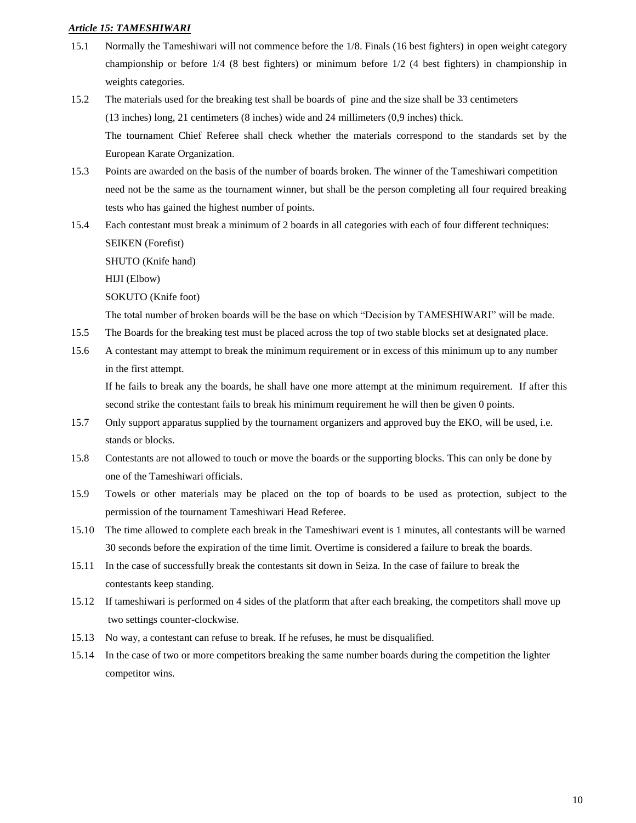### *Article 15: TAMESHIWARI*

- 15.1 Normally the Tameshiwari will not commence before the 1/8. Finals (16 best fighters) in open weight category championship or before 1/4 (8 best fighters) or minimum before 1/2 (4 best fighters) in championship in weights categories.
- 15.2 The materials used for the breaking test shall be boards of pine and the size shall be 33 centimeters (13 inches) long, 21 centimeters (8 inches) wide and 24 millimeters (0,9 inches) thick. The tournament Chief Referee shall check whether the materials correspond to the standards set by the European Karate Organization.
- 15.3 Points are awarded on the basis of the number of boards broken. The winner of the Tameshiwari competition need not be the same as the tournament winner, but shall be the person completing all four required breaking tests who has gained the highest number of points.
- 15.4 Each contestant must break a minimum of 2 boards in all categories with each of four different techniques: SEIKEN (Forefist)

SHUTO (Knife hand)

HIJI (Elbow)

SOKUTO (Knife foot)

The total number of broken boards will be the base on which "Decision by TAMESHIWARI" will be made.

- 15.5 The Boards for the breaking test must be placed across the top of two stable blocks set at designated place.
- 15.6 A contestant may attempt to break the minimum requirement or in excess of this minimum up to any number in the first attempt.

If he fails to break any the boards, he shall have one more attempt at the minimum requirement. If after this second strike the contestant fails to break his minimum requirement he will then be given 0 points.

- 15.7 Only support apparatus supplied by the tournament organizers and approved buy the EKO, will be used, i.e. stands or blocks.
- 15.8 Contestants are not allowed to touch or move the boards or the supporting blocks. This can only be done by one of the Tameshiwari officials.
- 15.9 Towels or other materials may be placed on the top of boards to be used as protection, subject to the permission of the tournament Tameshiwari Head Referee.
- 15.10 The time allowed to complete each break in the Tameshiwari event is 1 minutes, all contestants will be warned 30 seconds before the expiration of the time limit. Overtime is considered a failure to break the boards.
- 15.11 In the case of successfully break the contestants sit down in Seiza. In the case of failure to break the contestants keep standing.
- 15.12 If tameshiwari is performed on 4 sides of the platform that after each breaking, the competitors shall move up two settings counter-clockwise.
- 15.13 No way, a contestant can refuse to break. If he refuses, he must be disqualified.
- 15.14 In the case of two or more competitors breaking the same number boards during the competition the lighter competitor wins.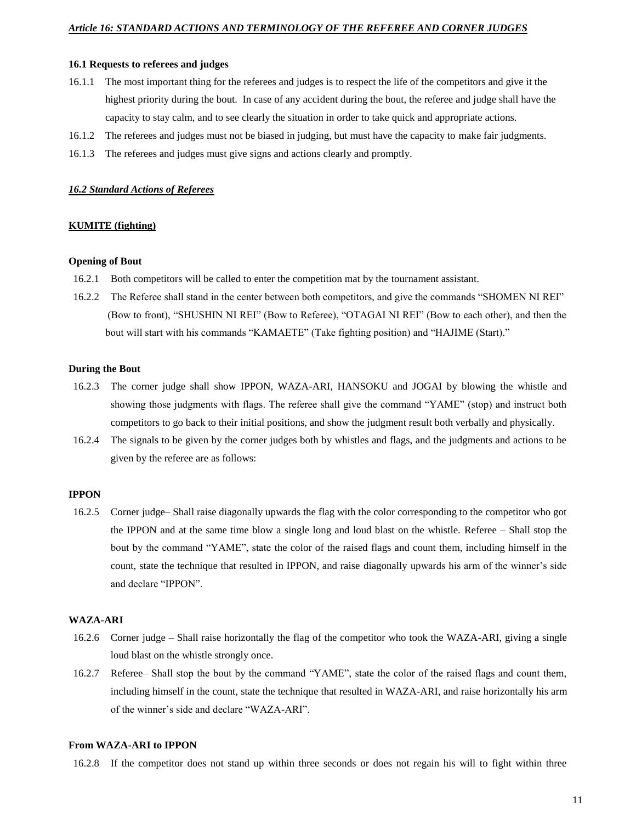#### **16.1 Requests to referees and judges**

- 16.1.1 The most important thing for the referees and judges is to respect the life of the competitors and give it the highest priority during the bout. In case of any accident during the bout, the referee and judge shall have the capacity to stay calm, and to see clearly the situation in order to take quick and appropriate actions.
- 16.1.2 The referees and judges must not be biased in judging, but must have the capacity to make fair judgments.
- 16.1.3 The referees and judges must give signs and actions clearly and promptly.

#### *16.2 Standard Actions of Referees*

#### **KUMITE (fighting)**

#### **Opening of Bout**

- 16.2.1 Both competitors will be called to enter the competition mat by the tournament assistant.
- 16.2.2 The Referee shall stand in the center between both competitors, and give the commands "SHOMEN NI REI" (Bow to front), "SHUSHIN NI REI" (Bow to Referee), "OTAGAI NI REI" (Bow to each other), and then the bout will start with his commands "KAMAETE" (Take fighting position) and "HAJIME (Start)."

#### **During the Bout**

- 16.2.3 The corner judge shall show IPPON, WAZA-ARI, HANSOKU and JOGAI by blowing the whistle and showing those judgments with flags. The referee shall give the command "YAME" (stop) and instruct both competitors to go back to their initial positions, and show the judgment result both verbally and physically.
- 16.2.4 The signals to be given by the corner judges both by whistles and flags, and the judgments and actions to be given by the referee are as follows:

# **IPPON**

16.2.5 Corner judge– Shall raise diagonally upwards the flag with the color corresponding to the competitor who got the IPPON and at the same time blow a single long and loud blast on the whistle. Referee – Shall stop the bout by the command "YAME", state the color of the raised flags and count them, including himself in the count, state the technique that resulted in IPPON, and raise diagonally upwards his arm of the winner's side and declare "IPPON".

#### **WAZA-ARI**

- 16.2.6 Corner judge Shall raise horizontally the flag of the competitor who took the WAZA-ARI, giving a single loud blast on the whistle strongly once.
- 16.2.7 Referee– Shall stop the bout by the command "YAME", state the color of the raised flags and count them, including himself in the count, state the technique that resulted in WAZA-ARI, and raise horizontally his arm of the winner's side and declare "WAZA-ARI".

#### **From WAZA-ARI to IPPON**

16.2.8 If the competitor does not stand up within three seconds or does not regain his will to fight within three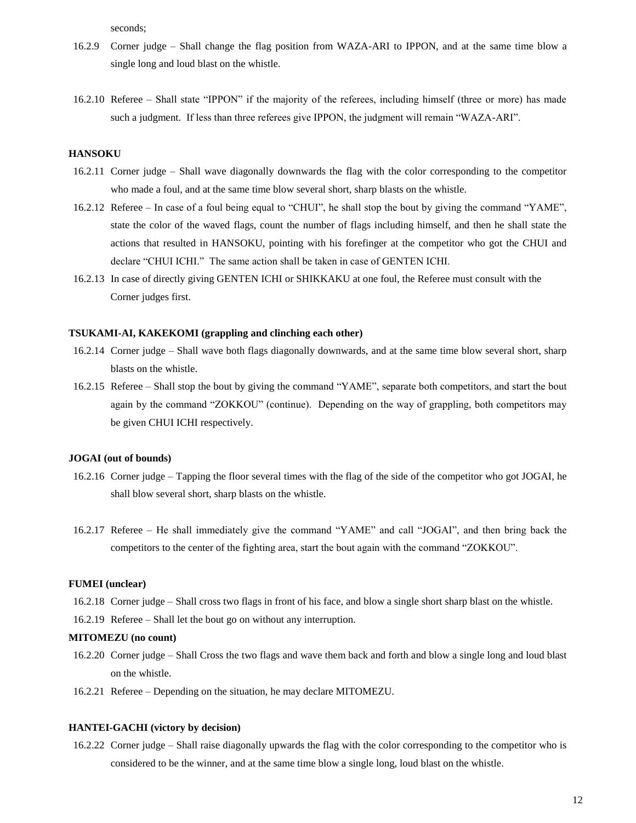seconds;

- 16.2.9 Corner judge Shall change the flag position from WAZA-ARI to IPPON, and at the same time blow a single long and loud blast on the whistle.
- 16.2.10 Referee Shall state "IPPON" if the majority of the referees, including himself (three or more) has made such a judgment. If less than three referees give IPPON, the judgment will remain "WAZA-ARI".

# **HANSOKU**

- 16.2.11 Corner judge Shall wave diagonally downwards the flag with the color corresponding to the competitor who made a foul, and at the same time blow several short, sharp blasts on the whistle.
- 16.2.12 Referee In case of a foul being equal to "CHUI", he shall stop the bout by giving the command "YAME", state the color of the waved flags, count the number of flags including himself, and then he shall state the actions that resulted in HANSOKU, pointing with his forefinger at the competitor who got the CHUI and declare "CHUI ICHI." The same action shall be taken in case of GENTEN ICHI.
- 16.2.13 In case of directly giving GENTEN ICHI or SHIKKAKU at one foul, the Referee must consult with the Corner judges first.

#### **TSUKAMI-AI, KAKEKOMI (grappling and clinching each other)**

- 16.2.14 Corner judge Shall wave both flags diagonally downwards, and at the same time blow several short, sharp blasts on the whistle.
- 16.2.15 Referee Shall stop the bout by giving the command "YAME", separate both competitors, and start the bout again by the command "ZOKKOU" (continue). Depending on the way of grappling, both competitors may be given CHUI ICHI respectively.

#### **JOGAI (out of bounds)**

- 16.2.16 Corner judge Tapping the floor several times with the flag of the side of the competitor who got JOGAI, he shall blow several short, sharp blasts on the whistle.
- 16.2.17 Referee He shall immediately give the command "YAME" and call "JOGAI", and then bring back the competitors to the center of the fighting area, start the bout again with the command "ZOKKOU".

#### **FUMEI (unclear)**

- 16.2.18 Corner judge Shall cross two flags in front of his face, and blow a single short sharp blast on the whistle.
- 16.2.19 Referee Shall let the bout go on without any interruption.

#### **MITOMEZU (no count)**

- 16.2.20 Corner judge Shall Cross the two flags and wave them back and forth and blow a single long and loud blast on the whistle.
- 16.2.21 Referee Depending on the situation, he may declare MITOMEZU.

### **HANTEI-GACHI (victory by decision)**

16.2.22 Corner judge – Shall raise diagonally upwards the flag with the color corresponding to the competitor who is considered to be the winner, and at the same time blow a single long, loud blast on the whistle.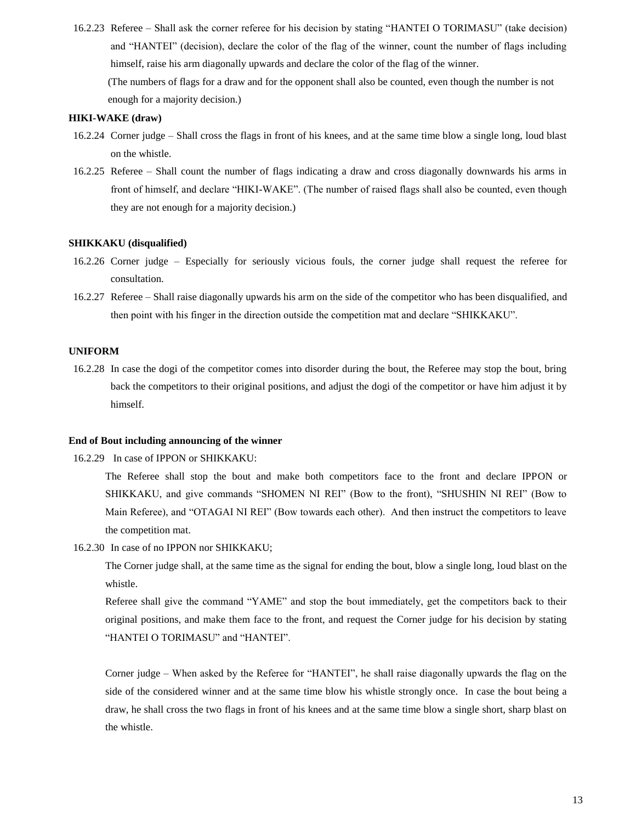16.2.23 Referee – Shall ask the corner referee for his decision by stating "HANTEI O TORIMASU" (take decision) and "HANTEI" (decision), declare the color of the flag of the winner, count the number of flags including himself, raise his arm diagonally upwards and declare the color of the flag of the winner. (The numbers of flags for a draw and for the opponent shall also be counted, even though the number is not enough for a majority decision.)

#### **HIKI-WAKE (draw)**

- 16.2.24 Corner judge Shall cross the flags in front of his knees, and at the same time blow a single long, loud blast on the whistle.
- 16.2.25 Referee Shall count the number of flags indicating a draw and cross diagonally downwards his arms in front of himself, and declare "HIKI-WAKE". (The number of raised flags shall also be counted, even though they are not enough for a majority decision.)

#### **SHIKKAKU (disqualified)**

- 16.2.26 Corner judge Especially for seriously vicious fouls, the corner judge shall request the referee for consultation.
- 16.2.27 Referee Shall raise diagonally upwards his arm on the side of the competitor who has been disqualified, and then point with his finger in the direction outside the competition mat and declare "SHIKKAKU".

#### **UNIFORM**

16.2.28 In case the dogi of the competitor comes into disorder during the bout, the Referee may stop the bout, bring back the competitors to their original positions, and adjust the dogi of the competitor or have him adjust it by himself.

### **End of Bout including announcing of the winner**

16.2.29 In case of IPPON or SHIKKAKU:

The Referee shall stop the bout and make both competitors face to the front and declare IPPON or SHIKKAKU, and give commands "SHOMEN NI REI" (Bow to the front), "SHUSHIN NI REI" (Bow to Main Referee), and "OTAGAI NI REI" (Bow towards each other). And then instruct the competitors to leave the competition mat.

16.2.30 In case of no IPPON nor SHIKKAKU;

The Corner judge shall, at the same time as the signal for ending the bout, blow a single long, loud blast on the whistle.

Referee shall give the command "YAME" and stop the bout immediately, get the competitors back to their original positions, and make them face to the front, and request the Corner judge for his decision by stating "HANTEI O TORIMASU" and "HANTEI".

Corner judge – When asked by the Referee for "HANTEI", he shall raise diagonally upwards the flag on the side of the considered winner and at the same time blow his whistle strongly once. In case the bout being a draw, he shall cross the two flags in front of his knees and at the same time blow a single short, sharp blast on the whistle.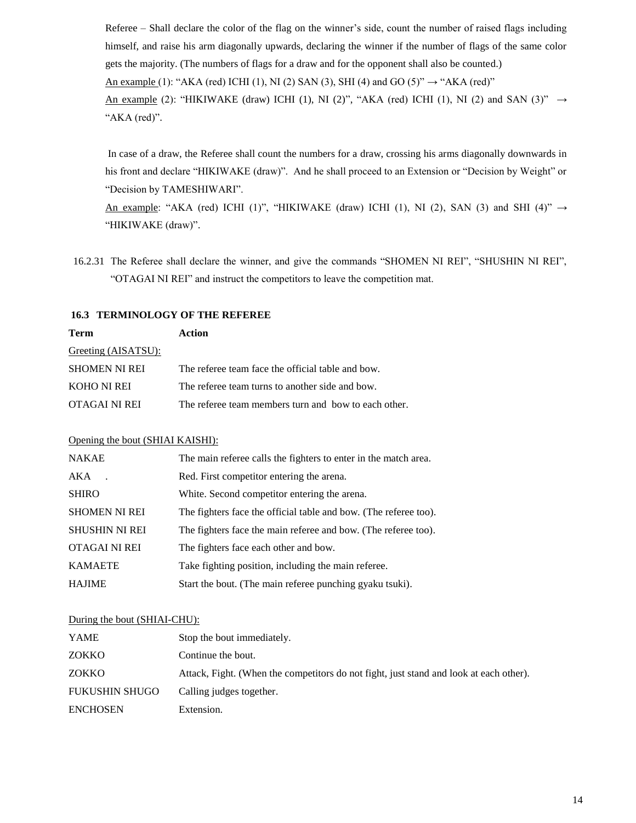Referee – Shall declare the color of the flag on the winner's side, count the number of raised flags including himself, and raise his arm diagonally upwards, declaring the winner if the number of flags of the same color gets the majority. (The numbers of flags for a draw and for the opponent shall also be counted.) An example (1): "AKA (red) ICHI (1), NI (2) SAN (3), SHI (4) and GO (5)"  $\rightarrow$  "AKA (red)" An example (2): "HIKIWAKE (draw) ICHI (1), NI (2)", "AKA (red) ICHI (1), NI (2) and SAN (3)"  $\rightarrow$ 

"AKA (red)".

In case of a draw, the Referee shall count the numbers for a draw, crossing his arms diagonally downwards in his front and declare "HIKIWAKE (draw)". And he shall proceed to an Extension or "Decision by Weight" or "Decision by TAMESHIWARI".

An example: "AKA (red) ICHI (1)", "HIKIWAKE (draw) ICHI (1), NI (2), SAN (3) and SHI (4)"  $\rightarrow$ "HIKIWAKE (draw)".

16.2.31 The Referee shall declare the winner, and give the commands "SHOMEN NI REI", "SHUSHIN NI REI", "OTAGAI NI REI" and instruct the competitors to leave the competition mat.

# **16.3 TERMINOLOGY OF THE REFEREE**

| Term                 | Action                                               |
|----------------------|------------------------------------------------------|
| Greeting (AISATSU):  |                                                      |
| <b>SHOMEN NI REI</b> | The referee team face the official table and bow.    |
| KOHO NI REI          | The referee team turns to another side and bow.      |
| OTAGAI NI REI        | The referee team members turn and bow to each other. |

# Opening the bout (SHIAI KAISHI):

| <b>NAKAE</b>          | The main referee calls the fighters to enter in the match area.  |
|-----------------------|------------------------------------------------------------------|
| AKA                   | Red. First competitor entering the arena.                        |
| <b>SHIRO</b>          | White. Second competitor entering the arena.                     |
| <b>SHOMEN NI REI</b>  | The fighters face the official table and bow. (The referee too). |
| <b>SHUSHIN NI REI</b> | The fighters face the main referee and bow. (The referee too).   |
| OTAGAI NI REI         | The fighters face each other and bow.                            |
| <b>KAMAETE</b>        | Take fighting position, including the main referee.              |
| <b>HAJIME</b>         | Start the bout. (The main referee punching gyaku tsuki).         |

# During the bout (SHIAI-CHU):

| YAME                  | Stop the bout immediately.                                                             |
|-----------------------|----------------------------------------------------------------------------------------|
| ZOKKO                 | Continue the bout.                                                                     |
| ZOKKO                 | Attack, Fight. (When the competitors do not fight, just stand and look at each other). |
| <b>FUKUSHIN SHUGO</b> | Calling judges together.                                                               |
| <b>ENCHOSEN</b>       | Extension.                                                                             |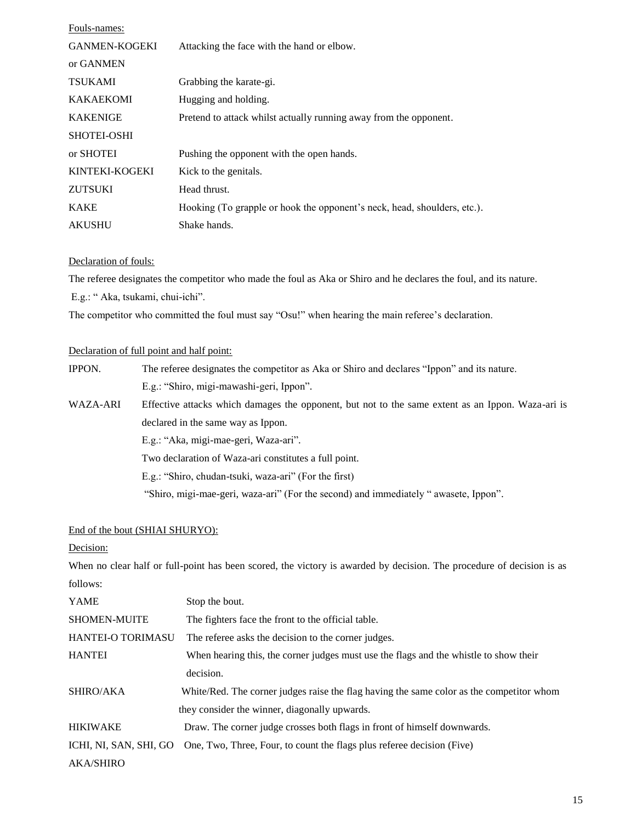| Fouls-names:         |                                                                          |
|----------------------|--------------------------------------------------------------------------|
| <b>GANMEN-KOGEKI</b> | Attacking the face with the hand or elbow.                               |
| or GANMEN            |                                                                          |
| <b>TSUKAMI</b>       | Grabbing the karate-gi.                                                  |
| <b>KAKAEKOMI</b>     | Hugging and holding.                                                     |
| <b>KAKENIGE</b>      | Pretend to attack whilst actually running away from the opponent.        |
| <b>SHOTEI-OSHI</b>   |                                                                          |
| or SHOTEI            | Pushing the opponent with the open hands.                                |
| KINTEKI-KOGEKI       | Kick to the genitals.                                                    |
| <b>ZUTSUKI</b>       | Head thrust.                                                             |
| <b>KAKE</b>          | Hooking (To grapple or hook the opponent's neck, head, shoulders, etc.). |
| <b>AKUSHU</b>        | Shake hands.                                                             |

## Declaration of fouls:

The referee designates the competitor who made the foul as Aka or Shiro and he declares the foul, and its nature.

E.g.: " Aka, tsukami, chui-ichi".

The competitor who committed the foul must say "Osu!" when hearing the main referee's declaration.

# Declaration of full point and half point:

| IPPON.   | The referee designates the competitor as Aka or Shiro and declares "Ippon" and its nature.        |  |  |  |
|----------|---------------------------------------------------------------------------------------------------|--|--|--|
|          | E.g.: "Shiro, migi-mawashi-geri, Ippon".                                                          |  |  |  |
| WAZA-ARI | Effective attacks which damages the opponent, but not to the same extent as an Ippon. Waza-ari is |  |  |  |
|          | declared in the same way as Ippon.                                                                |  |  |  |
|          | E.g.: "Aka, migi-mae-geri, Waza-ari".                                                             |  |  |  |
|          | Two declaration of Waza-ari constitutes a full point.                                             |  |  |  |
|          | E.g.: "Shiro, chudan-tsuki, waza-ari" (For the first)                                             |  |  |  |
|          | "Shiro, migi-mae-geri, waza-ari" (For the second) and immediately " awasete, Ippon".              |  |  |  |

# End of the bout (SHIAI SHURYO):

# Decision:

When no clear half or full-point has been scored, the victory is awarded by decision. The procedure of decision is as follows:

| YAME                   | Stop the bout.                                                                           |
|------------------------|------------------------------------------------------------------------------------------|
| <b>SHOMEN-MUITE</b>    | The fighters face the front to the official table.                                       |
| HANTEI-O TORIMASU      | The referee asks the decision to the corner judges.                                      |
| <b>HANTEI</b>          | When hearing this, the corner judges must use the flags and the whistle to show their    |
|                        | decision.                                                                                |
| SHIRO/AKA              | White/Red. The corner judges raise the flag having the same color as the competitor whom |
|                        | they consider the winner, diagonally upwards.                                            |
| <b>HIKIWAKE</b>        | Draw. The corner judge crosses both flags in front of himself downwards.                 |
| ICHI, NI, SAN, SHI, GO | One, Two, Three, Four, to count the flags plus referee decision (Five)                   |
| <b>AKA/SHIRO</b>       |                                                                                          |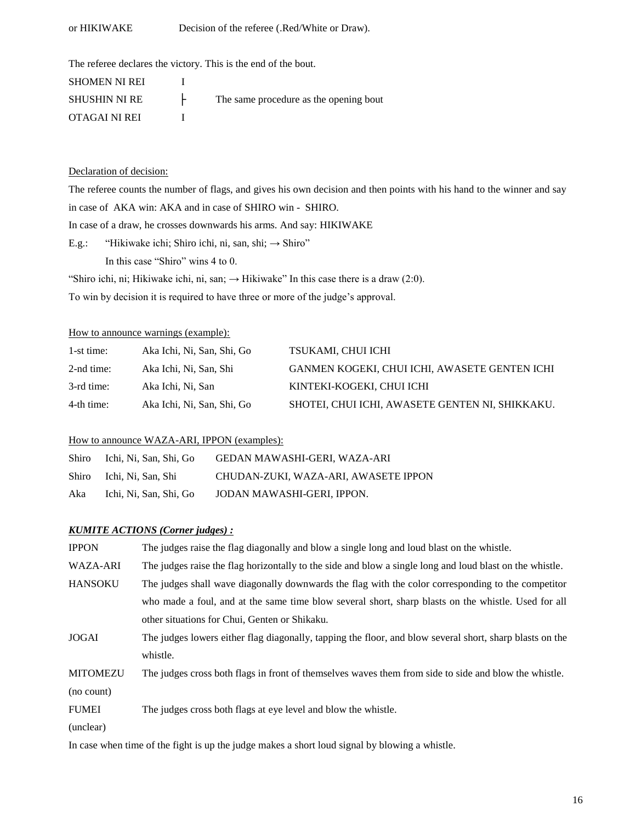# or HIKIWAKE Decision of the referee (.Red/White or Draw).

The referee declares the victory. This is the end of the bout.

| <b>SHOMEN NI REI</b> |                                        |
|----------------------|----------------------------------------|
| <b>SHUSHIN NI RE</b> | The same procedure as the opening bout |
| OTAGAI NI REI        |                                        |

# Declaration of decision:

The referee counts the number of flags, and gives his own decision and then points with his hand to the winner and say in case of AKA win: AKA and in case of SHIRO win - SHIRO. In case of a draw, he crosses downwards his arms. And say: HIKIWAKE E.g.: "Hikiwake ichi; Shiro ichi, ni, san, shi;  $\rightarrow$  Shiro" In this case "Shiro" wins 4 to 0. "Shiro ichi, ni; Hikiwake ichi, ni, san;  $\rightarrow$  Hikiwake" In this case there is a draw (2:0). To win by decision it is required to have three or more of the judge's approval.

### How to announce warnings (example):

| 1-st time: | Aka Ichi, Ni, San, Shi, Go | TSUKAMI, CHUI ICHI                              |
|------------|----------------------------|-------------------------------------------------|
| 2-nd time: | Aka Ichi, Ni, San, Shi     | GANMEN KOGEKI, CHUI ICHI, AWASETE GENTEN ICHI   |
| 3-rd time: | Aka Ichi, Ni, San          | KINTEKI-KOGEKI, CHUI ICHI                       |
| 4-th time: | Aka Ichi, Ni, San, Shi, Go | SHOTEI, CHUI ICHI, AWASETE GENTEN NI, SHIKKAKU. |

### How to announce WAZA-ARI, IPPON (examples):

| Shiro | Ichi, Ni, San, Shi, Go | GEDAN MAWASHI-GERI, WAZA-ARI         |
|-------|------------------------|--------------------------------------|
| Shiro | Ichi, Ni, San, Shi     | CHUDAN-ZUKI, WAZA-ARI, AWASETE IPPON |
| Aka   | Ichi, Ni, San, Shi, Go | JODAN MAWASHI-GERI. IPPON.           |

### *KUMITE ACTIONS (Corner judges) :*

| <b>IPPON</b>    | The judges raise the flag diagonally and blow a single long and loud blast on the whistle.               |
|-----------------|----------------------------------------------------------------------------------------------------------|
| <b>WAZA-ARI</b> | The judges raise the flag horizontally to the side and blow a single long and loud blast on the whistle. |
| <b>HANSOKU</b>  | The judges shall wave diagonally downwards the flag with the color corresponding to the competitor       |
|                 | who made a foul, and at the same time blow several short, sharp blasts on the whistle. Used for all      |
|                 | other situations for Chui, Genten or Shikaku.                                                            |
| <b>JOGAI</b>    | The judges lowers either flag diagonally, tapping the floor, and blow several short, sharp blasts on the |
|                 | whistle.                                                                                                 |
| <b>MITOMEZU</b> | The judges cross both flags in front of themselves waves them from side to side and blow the whistle.    |
| (no count)      |                                                                                                          |
| <b>FUMEI</b>    | The judges cross both flags at eye level and blow the whistle.                                           |
| (unclear)       |                                                                                                          |

In case when time of the fight is up the judge makes a short loud signal by blowing a whistle.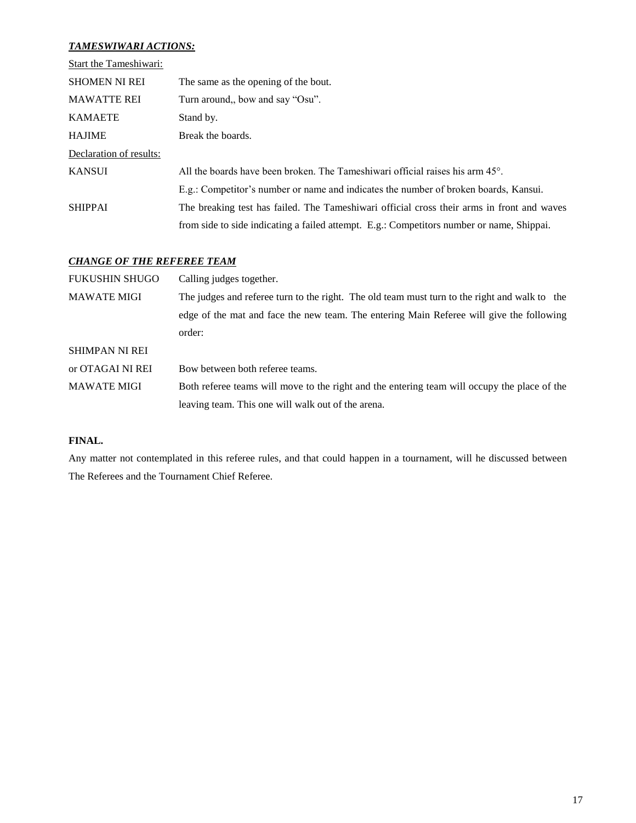# *TAMESWIWARI ACTIONS:*

| Start the Tameshiwari:  |                                                                                            |
|-------------------------|--------------------------------------------------------------------------------------------|
| <b>SHOMEN NI REI</b>    | The same as the opening of the bout.                                                       |
| <b>MAWATTE REI</b>      | Turn around,, bow and say "Osu".                                                           |
| <b>KAMAETE</b>          | Stand by.                                                                                  |
| <b>HAJIME</b>           | Break the boards.                                                                          |
| Declaration of results: |                                                                                            |
| <b>KANSUI</b>           | All the boards have been broken. The Tameshiwari official raises his arm $45^{\circ}$ .    |
|                         | E.g.: Competitor's number or name and indicates the number of broken boards, Kansui.       |
| <b>SHIPPAI</b>          | The breaking test has failed. The Tameshiwari official cross their arms in front and waves |
|                         | from side to side indicating a failed attempt. E.g.: Competitors number or name, Shippai.  |

# *CHANGE OF THE REFEREE TEAM*

| <b>FUKUSHIN SHUGO</b> | Calling judges together.                                                                      |
|-----------------------|-----------------------------------------------------------------------------------------------|
| <b>MAWATE MIGI</b>    | The judges and referee turn to the right. The old team must turn to the right and walk to the |
|                       | edge of the mat and face the new team. The entering Main Referee will give the following      |
|                       | order:                                                                                        |
| <b>SHIMPAN NI REI</b> |                                                                                               |
| or OTAGAI NI REI      | Bow between both referee teams.                                                               |
| <b>MAWATE MIGI</b>    | Both referee teams will move to the right and the entering team will occupy the place of the  |
|                       | leaving team. This one will walk out of the arena.                                            |

# **FINAL.**

Any matter not contemplated in this referee rules, and that could happen in a tournament, will he discussed between The Referees and the Tournament Chief Referee.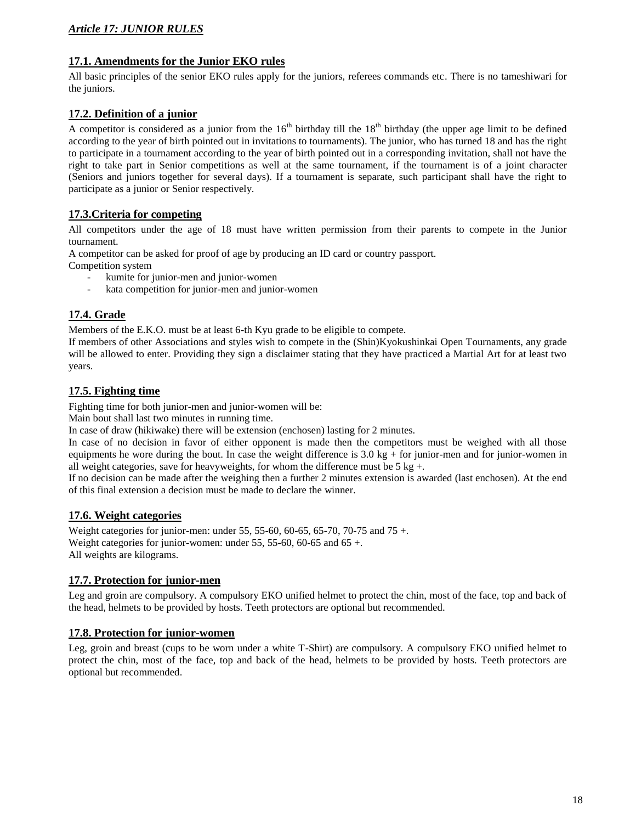# *Article 17: JUNIOR RULES*

# **17.1. Amendments for the Junior EKO rules**

All basic principles of the senior EKO rules apply for the juniors, referees commands etc. There is no tameshiwari for the juniors.

# **17.2. Definition of a junior**

A competitor is considered as a junior from the  $16<sup>th</sup>$  birthday till the  $18<sup>th</sup>$  birthday (the upper age limit to be defined according to the year of birth pointed out in invitations to tournaments). The junior, who has turned 18 and has the right to participate in a tournament according to the year of birth pointed out in a corresponding invitation, shall not have the right to take part in Senior competitions as well at the same tournament, if the tournament is of a joint character (Seniors and juniors together for several days). If a tournament is separate, such participant shall have the right to participate as a junior or Senior respectively.

# **17.3.Criteria for competing**

All competitors under the age of 18 must have written permission from their parents to compete in the Junior tournament.

A competitor can be asked for proof of age by producing an ID card or country passport.

Competition system

- kumite for junior-men and junior-women
- kata competition for junior-men and junior-women

# **17.4. Grade**

Members of the E.K.O. must be at least 6-th Kyu grade to be eligible to compete.

If members of other Associations and styles wish to compete in the (Shin)Kyokushinkai Open Tournaments, any grade will be allowed to enter. Providing they sign a disclaimer stating that they have practiced a Martial Art for at least two years.

# **17.5. Fighting time**

Fighting time for both junior-men and junior-women will be:

Main bout shall last two minutes in running time.

In case of draw (hikiwake) there will be extension (enchosen) lasting for 2 minutes.

In case of no decision in favor of either opponent is made then the competitors must be weighed with all those equipments he wore during the bout. In case the weight difference is  $3.0 \text{ kg} +$  for junior-men and for junior-women in all weight categories, save for heavyweights, for whom the difference must be  $5 \text{ kg} +$ .

If no decision can be made after the weighing then a further 2 minutes extension is awarded (last enchosen). At the end of this final extension a decision must be made to declare the winner.

# **17.6. Weight categories**

Weight categories for junior-men: under 55, 55-60, 60-65, 65-70, 70-75 and 75 +. Weight categories for junior-women: under 55, 55-60, 60-65 and 65 +. All weights are kilograms.

# **17.7. Protection for junior-men**

Leg and groin are compulsory. A compulsory EKO unified helmet to protect the chin, most of the face, top and back of the head, helmets to be provided by hosts. Teeth protectors are optional but recommended.

# **17.8. Protection for junior-women**

Leg, groin and breast (cups to be worn under a white T-Shirt) are compulsory. A compulsory EKO unified helmet to protect the chin, most of the face, top and back of the head, helmets to be provided by hosts. Teeth protectors are optional but recommended.